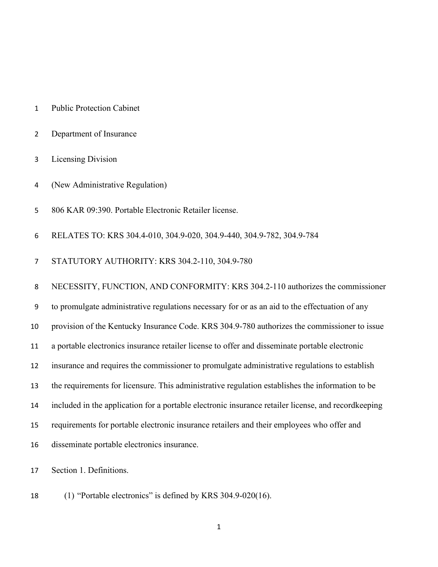- Public Protection Cabinet
- Department of Insurance
- Licensing Division
- (New Administrative Regulation)
- 806 KAR 09:390. Portable Electronic Retailer license.
- RELATES TO: KRS 304.4-010, 304.9-020, 304.9-440, 304.9-782, 304.9-784
- STATUTORY AUTHORITY: KRS 304.2-110, 304.9-780

NECESSITY, FUNCTION, AND CONFORMITY: KRS 304.2-110 authorizes the commissioner

to promulgate administrative regulations necessary for or as an aid to the effectuation of any

provision of the Kentucky Insurance Code. KRS 304.9-780 authorizes the commissioner to issue

a portable electronics insurance retailer license to offer and disseminate portable electronic

- insurance and requires the commissioner to promulgate administrative regulations to establish
- the requirements for licensure. This administrative regulation establishes the information to be
- included in the application for a portable electronic insurance retailer license, and recordkeeping
- requirements for portable electronic insurance retailers and their employees who offer and
- disseminate portable electronics insurance.

Section 1. Definitions.

(1) "Portable electronics" is defined by KRS 304.9-020(16).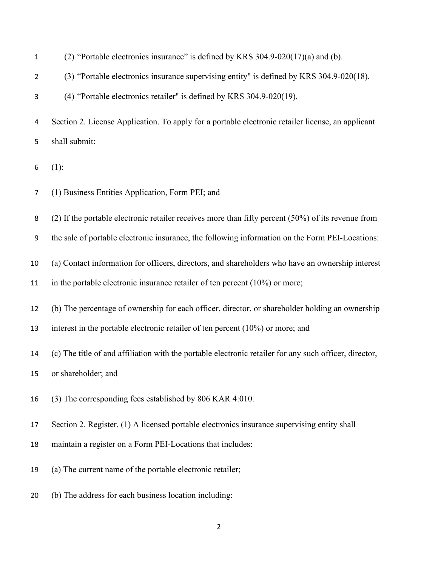| $\mathbf{1}$    | (2) "Portable electronics insurance" is defined by KRS 304.9-020(17)(a) and (b).                       |
|-----------------|--------------------------------------------------------------------------------------------------------|
| $\overline{2}$  | (3) "Portable electronics insurance supervising entity" is defined by KRS 304.9-020(18).               |
| 3               | (4) "Portable electronics retailer" is defined by KRS 304.9-020(19).                                   |
| 4               | Section 2. License Application. To apply for a portable electronic retailer license, an applicant      |
| 5               | shall submit:                                                                                          |
| 6               | $(1)$ :                                                                                                |
| 7               | (1) Business Entities Application, Form PEI; and                                                       |
| 8               | (2) If the portable electronic retailer receives more than fifty percent $(50\%)$ of its revenue from  |
| 9               | the sale of portable electronic insurance, the following information on the Form PEI-Locations:        |
| 10              | (a) Contact information for officers, directors, and shareholders who have an ownership interest       |
| 11              | in the portable electronic insurance retailer of ten percent $(10\%)$ or more;                         |
| 12              | (b) The percentage of ownership for each officer, director, or shareholder holding an ownership        |
| 13              | interest in the portable electronic retailer of ten percent $(10\%)$ or more; and                      |
| 14              | (c) The title of and affiliation with the portable electronic retailer for any such officer, director, |
| 15 <sub>1</sub> | or shareholder; and                                                                                    |
| 16              | (3) The corresponding fees established by 806 KAR 4:010.                                               |
| 17              | Section 2. Register. (1) A licensed portable electronics insurance supervising entity shall            |
| 18              | maintain a register on a Form PEI-Locations that includes:                                             |
| 19              | (a) The current name of the portable electronic retailer;                                              |
| 20              | (b) The address for each business location including:                                                  |